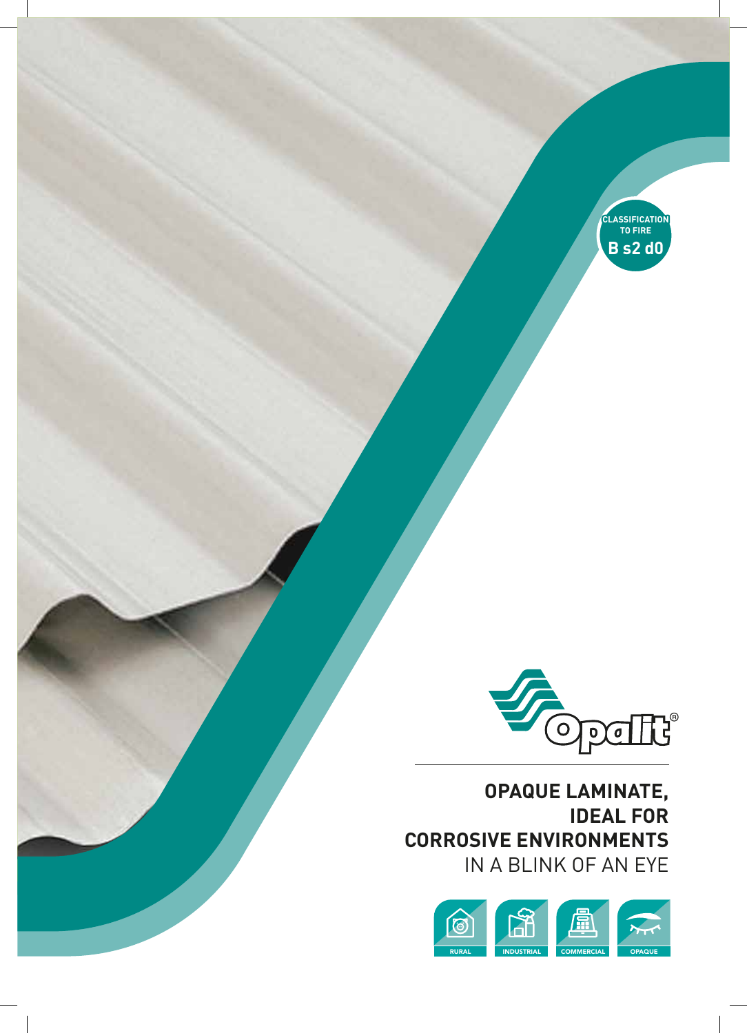



**OPAQUE LAMINATE, IDEAL FOR CORROSIVE ENVIRONMENTS** IN A BLINK OF AN EYE

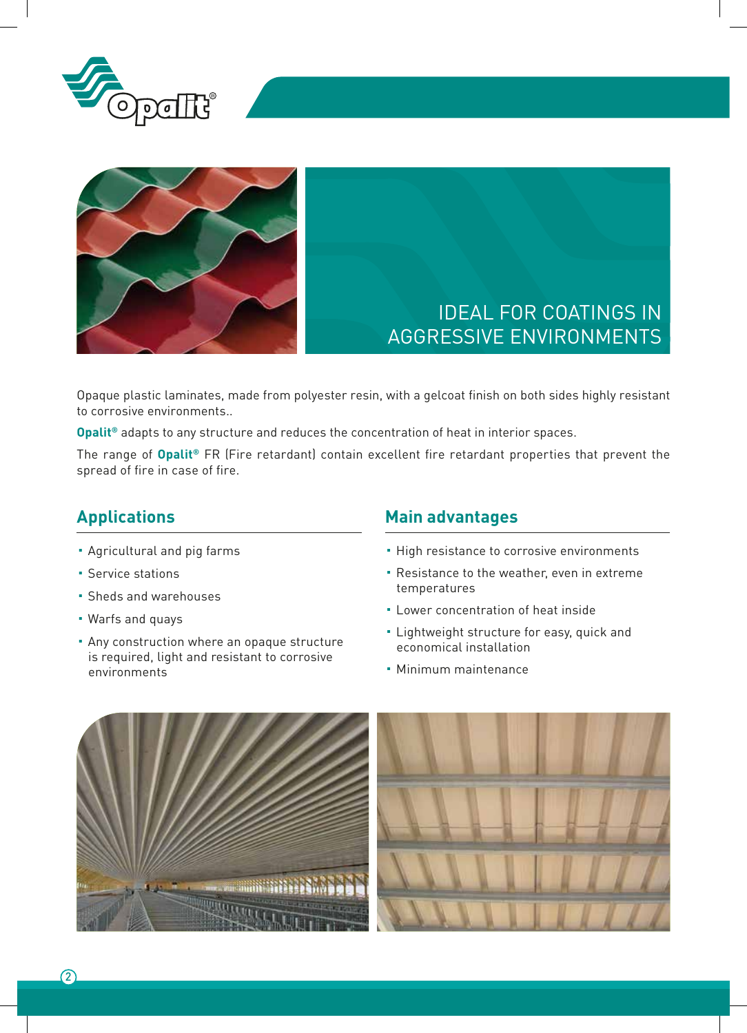



# IDEAL FOR COATINGS IN AGGRESSIVE ENVIRONMENTS

Opaque plastic laminates, made from polyester resin, with a gelcoat finish on both sides highly resistant to corrosive environments..

**Opalit®** adapts to any structure and reduces the concentration of heat in interior spaces.

The range of **Opalit®** FR (Fire retardant) contain excellent fire retardant properties that prevent the spread of fire in case of fire.

#### **Applications**

- Agricultural and pig farms
- Service stations
- Sheds and warehouses
- Warfs and quays
- **Any construction where an opaque structure** is required, light and resistant to corrosive environments

#### **Main advantages**

- **.** High resistance to corrosive environments
- **Resistance to the weather, even in extreme** temperatures
- **E** Lower concentration of heat inside
- **.** Lightweight structure for easy, quick and economical installation
- Minimum maintenance

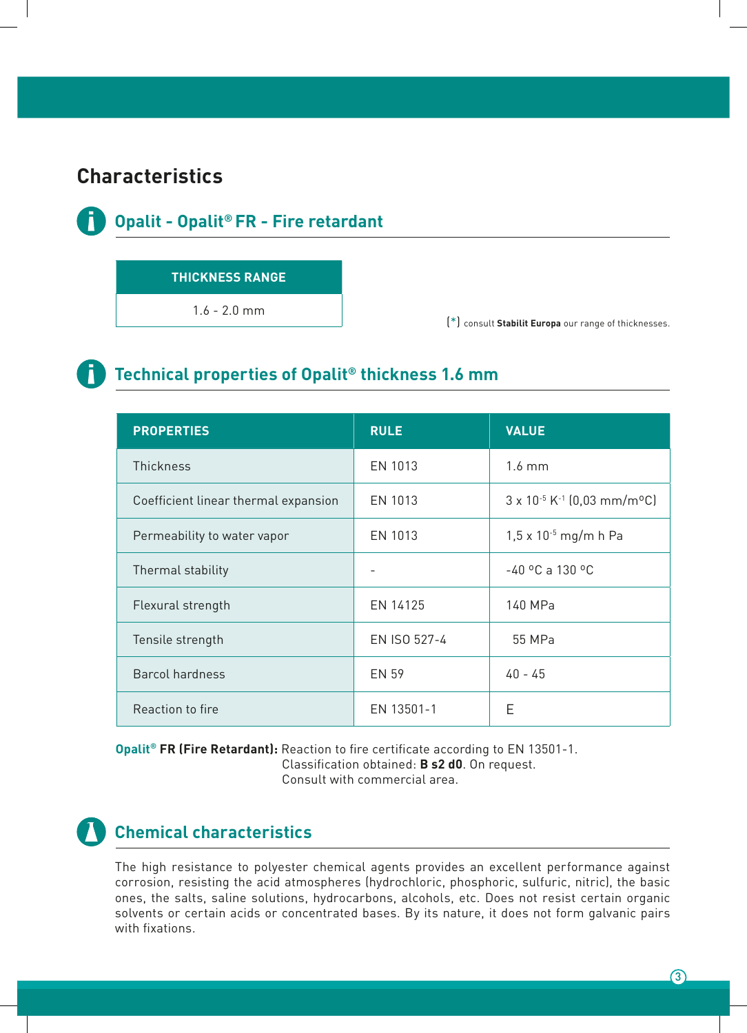## **Characteristics**



#### **Opalit - Opalit® FR - Fire retardant**

#### **THICKNESS RANGE**

1.6 - 2.0 mm

(\*) consult **Stabilit Europa** our range of thicknesses.



## **Technical properties of Opalit® thickness 1.6 mm**

| <b>PROPERTIES</b>                    | <b>RULE</b>  | <b>VALUE</b>                                                  |  |
|--------------------------------------|--------------|---------------------------------------------------------------|--|
| <b>Thickness</b>                     | EN 1013      | $1.6 \text{ mm}$                                              |  |
| Coefficient linear thermal expansion | EN 1013      | $3 \times 10^{-5}$ K <sup>-1</sup> (0,03 mm/m <sup>o</sup> C) |  |
| Permeability to water vapor          | EN 1013      | $1,5 \times 10^{-5}$ mg/m h Pa                                |  |
| Thermal stability                    |              | $-40$ °C a 130 °C                                             |  |
| Flexural strength                    | EN 14125     | 140 MPa                                                       |  |
| Tensile strength                     | EN ISO 527-4 | 55 MPa                                                        |  |
| <b>Barcol hardness</b>               | <b>EN 59</b> | $40 - 45$                                                     |  |
| Reaction to fire                     | EN 13501-1   | Е                                                             |  |

**Opalit® FR (Fire Retardant):** Reaction to fire certificate according to EN 13501-1.

Classification obtained: **B s2 d0**. On request.

Consult with commercial area.



## **Chemical characteristics**

The high resistance to polyester chemical agents provides an excellent performance against corrosion, resisting the acid atmospheres (hydrochloric, phosphoric, sulfuric, nitric), the basic ones, the salts, saline solutions, hydrocarbons, alcohols, etc. Does not resist certain organic solvents or certain acids or concentrated bases. By its nature, it does not form galvanic pairs with fixations.

 $\Omega$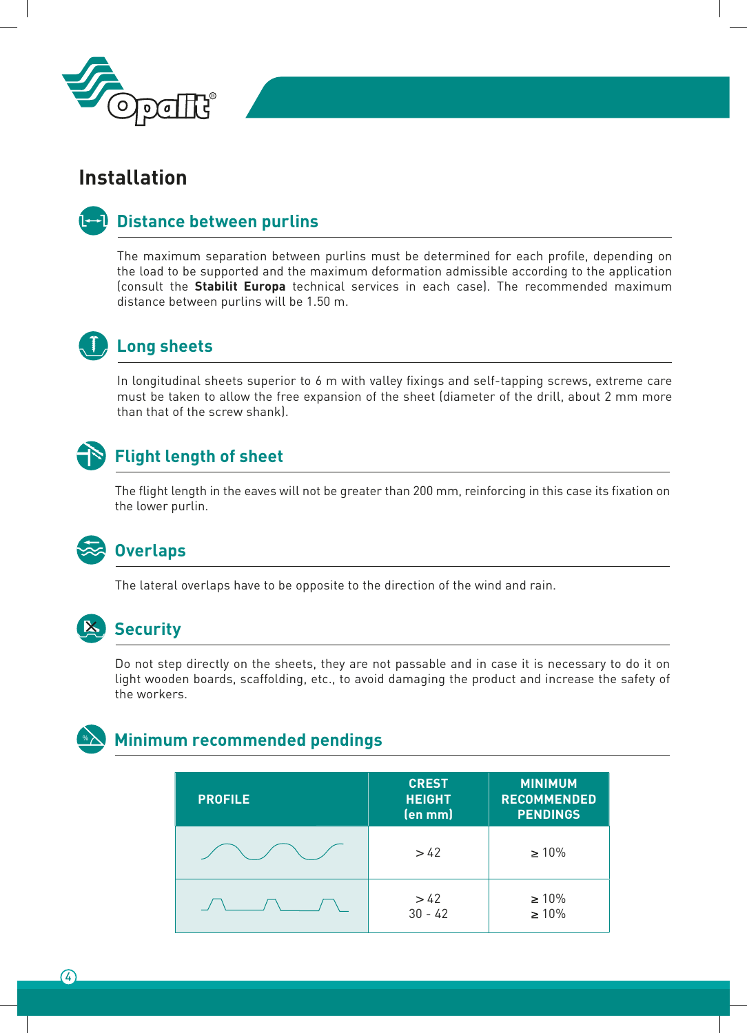

## **Installation**

#### **Distance between purlins**

The maximum separation between purlins must be determined for each profile, depending on the load to be supported and the maximum deformation admissible according to the application (consult the **Stabilit Europa** technical services in each case). The recommended maximum distance between purlins will be 1.50 m.



## **Long sheets**

In longitudinal sheets superior to 6 m with valley fixings and self-tapping screws, extreme care must be taken to allow the free expansion of the sheet (diameter of the drill, about 2 mm more than that of the screw shank).



## **Flight length of sheet**

The flight length in the eaves will not be greater than 200 mm, reinforcing in this case its fixation on the lower purlin.



#### **Overlaps**

The lateral overlaps have to be opposite to the direction of the wind and rain.



#### **IX** Security

Do not step directly on the sheets, they are not passable and in case it is necessary to do it on light wooden boards, scaffolding, etc., to avoid damaging the product and increase the safety of the workers.



#### % **Minimum recommended pendings**

| <b>PROFILE</b> | <b>CREST</b><br><b>HEIGHT</b><br>(en mm) | <b>MINIMUM</b><br><b>RECOMMENDED</b><br><b>PENDINGS</b> |
|----------------|------------------------------------------|---------------------------------------------------------|
|                | >42                                      | $\geq 10\%$                                             |
|                | >42<br>$30 - 42$                         | $\geq 10\%$<br>$\geq 10\%$                              |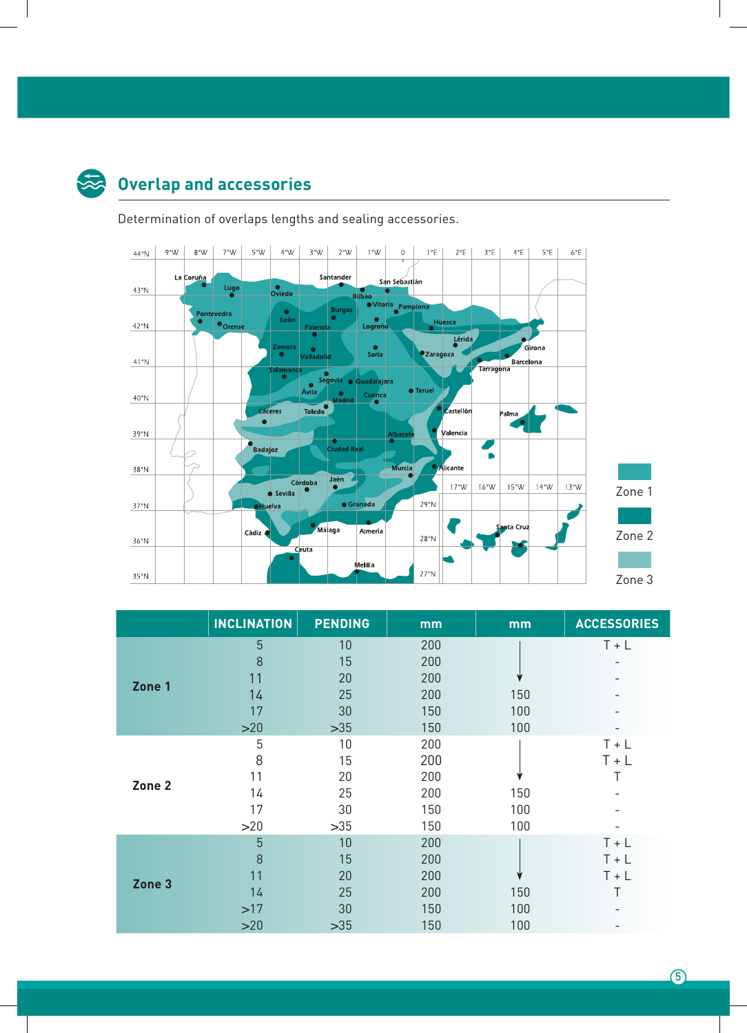

# **Overlap and accessories**

Determination of overlaps lengths and sealing accessories.



|        | <b>INCLINATION</b> | <b>PENDING</b> | mm  | mm  | <b>ACCESSORIES</b> |
|--------|--------------------|----------------|-----|-----|--------------------|
| Zone 1 | $\overline{5}$     | 10             | 200 |     | $T + L$            |
|        | 8                  | 15             | 200 |     |                    |
|        | 11                 | 20             | 200 |     |                    |
|        | 14                 | 25             | 200 | 150 |                    |
|        | 17                 | 30             | 150 | 100 |                    |
|        | >20                | $>35$          | 150 | 100 |                    |
| Zone 2 | 5                  | 10             | 200 |     | $T + L$            |
|        | 8                  | 15             | 200 |     | $T + L$            |
|        | 11                 | 20             | 200 |     |                    |
|        | 14                 | 25             | 200 | 150 |                    |
|        | 17                 | 30             | 150 | 100 |                    |
|        | >20                | $>35$          | 150 | 100 |                    |
| Zone 3 | 5                  | 10             | 200 |     | $T + L$            |
|        | 8                  | 15             | 200 |     | $T + L$            |
|        | 11                 | 20             | 200 |     | $T + L$            |
|        | 14                 | 25             | 200 | 150 |                    |
|        | >17                | 30             | 150 | 100 |                    |
|        | >20                | $>35$          | 150 | 100 |                    |

 $(5)$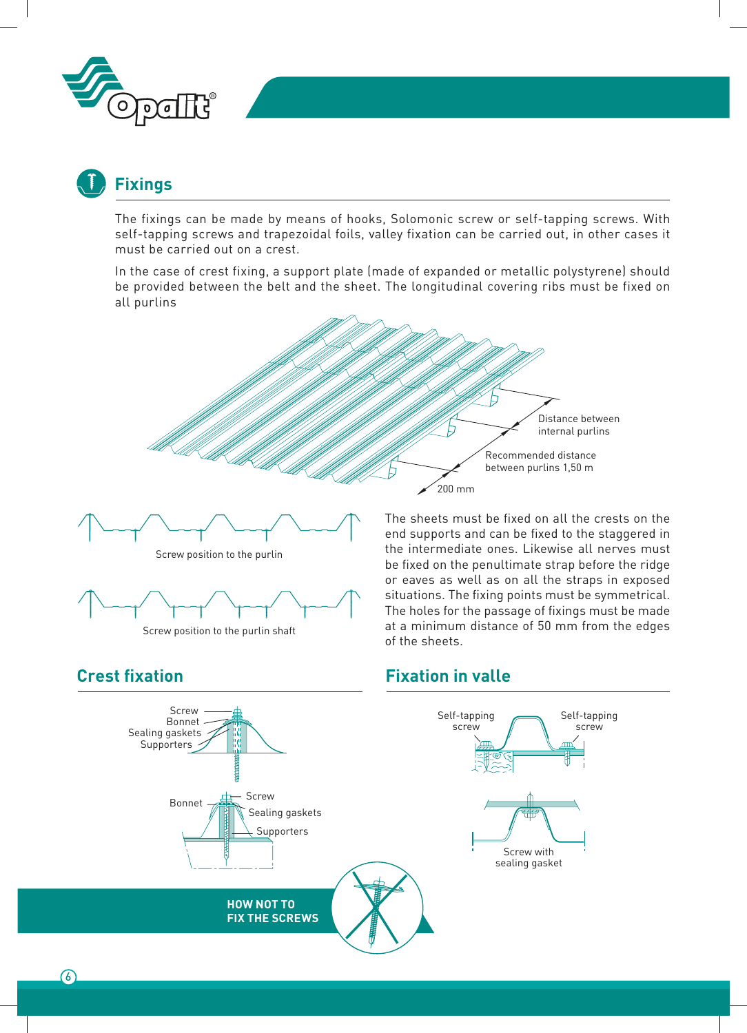

# **Fixings**

The fixings can be made by means of hooks, Solomonic screw or self-tapping screws. With self-tapping screws and trapezoidal foils, valley fixation can be carried out, in other cases it must be carried out on a crest.

In the case of crest fixing, a support plate (made of expanded or metallic polystyrene) should be provided between the belt and the sheet. The longitudinal covering ribs must be fixed on all purlins







The sheets must be fixed on all the crests on the end supports and can be fixed to the staggered in the intermediate ones. Likewise all nerves must be fixed on the penultimate strap before the ridge or eaves as well as on all the straps in exposed situations. The fixing points must be symmetrical. The holes for the passage of fixings must be made at a minimum distance of 50 mm from the edges of the sheets.

**Fixation in valle**

#### **Crest fixation**

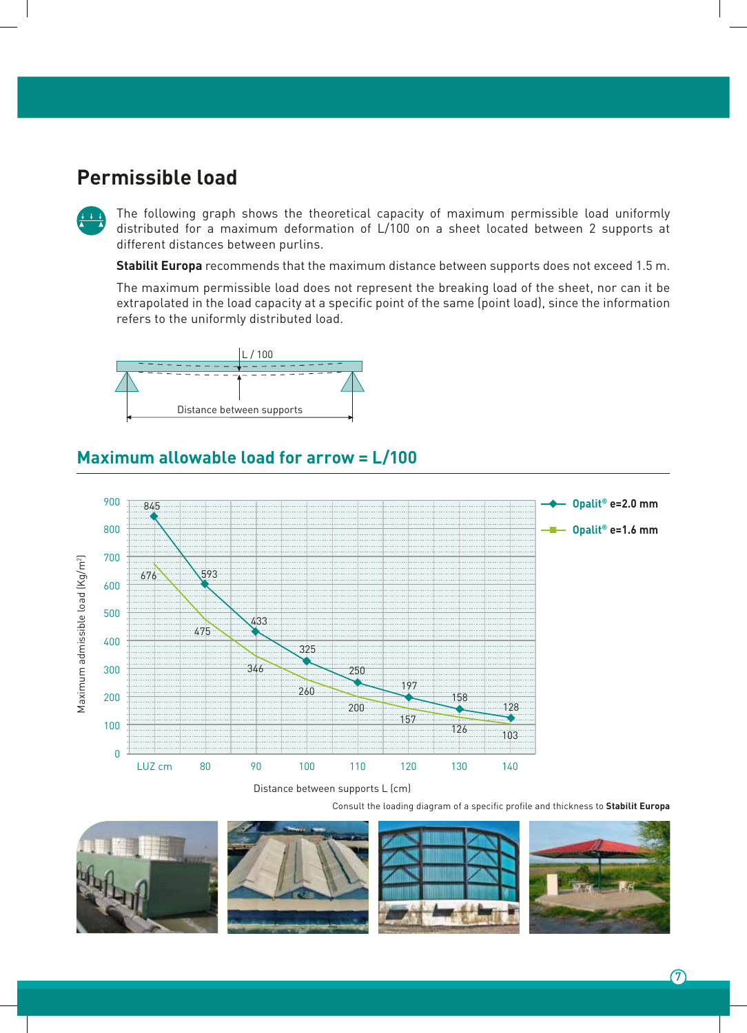## **Permissible load**



The following graph shows the theoretical capacity of maximum permissible load uniformly distributed for a maximum deformation of L/100 on a sheet located between 2 supports at different distances between purlins.

**Stabilit Europa** recommends that the maximum distance between supports does not exceed 1.5 m.

The maximum permissible load does not represent the breaking load of the sheet, nor can it be extrapolated in the load capacity at a specific point of the same (point load), since the information refers to the uniformly distributed load.



#### **Maximum allowable load for arrow = L/100**



Distance between supports L (cm)

Consult the loading diagram of a specific profile and thickness to **Stabilit Europa**